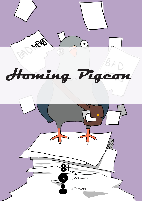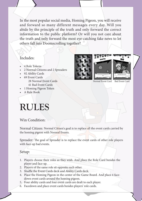In the most popular social media, Homing Pigeon, you will receive and forward so many different messages every day. Will you abide by the principle of the truth and only forward the correct information to the public platform? Or will you not care about the truth and only forward the most eye-catching fake news to let others fall into Doomscrolling together?

# Includes:

- 4 Role Tokens
- 2 Normal Citizens and 2 Spreaders
- 92 Ability Cards
- 69 Event Cards 28 Normal Event Cards 41 Bad Event Cards
- 1 Homing Pigeon Token
- A Rule Book



Normal Event Card Bad Event Card

# **RULES**

### Win Condition:

Normal Citizen: Normal Citizen's goal is to replace all the event cards carried by the homing pigeon with Normal Events.

Spreader: The goal of Spreader is to replace the event cards of other role players with face-up bad events.

#### Setup:

- 1. Players choose their roles as they wish. And place the Role Card besides the player and face up.
- 2. Players of the same role sit opposite each other.
- 3. Shuffle the Event Cards deck and Ability Cards deck.
- 4. Place the Homing Pigeon in the center of the Game Board. And place 4 facedown event cards around the homing pigeon.
- 5. Four ability cards and four event cards are dealt to each player.
- 6. Facedown and place event cards besides players' role cards.